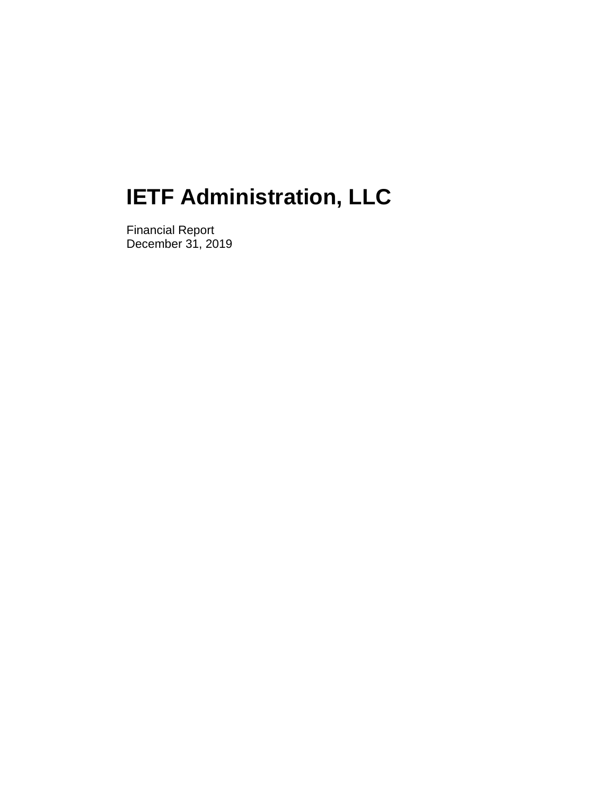Financial Report December 31, 2019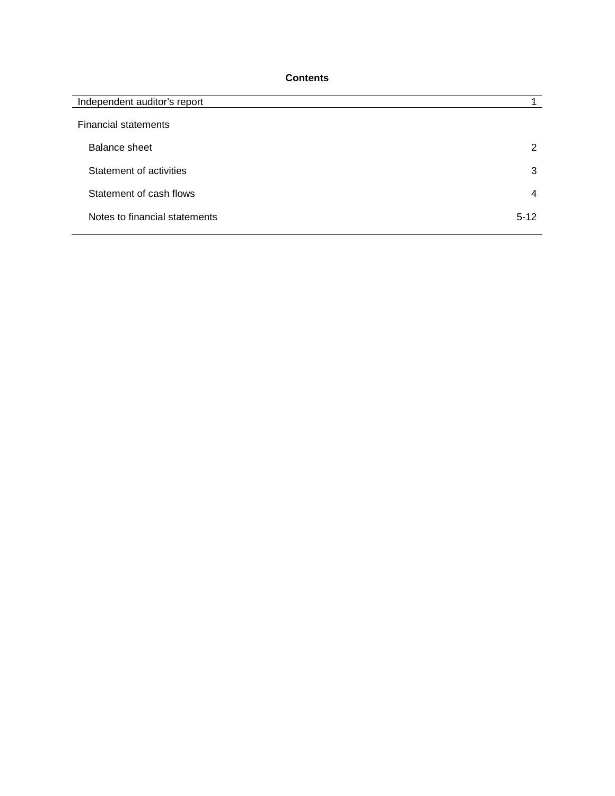## **Contents**

| Independent auditor's report  |          |
|-------------------------------|----------|
| <b>Financial statements</b>   |          |
| Balance sheet                 | 2        |
| Statement of activities       | 3        |
| Statement of cash flows       | 4        |
| Notes to financial statements | $5 - 12$ |
|                               |          |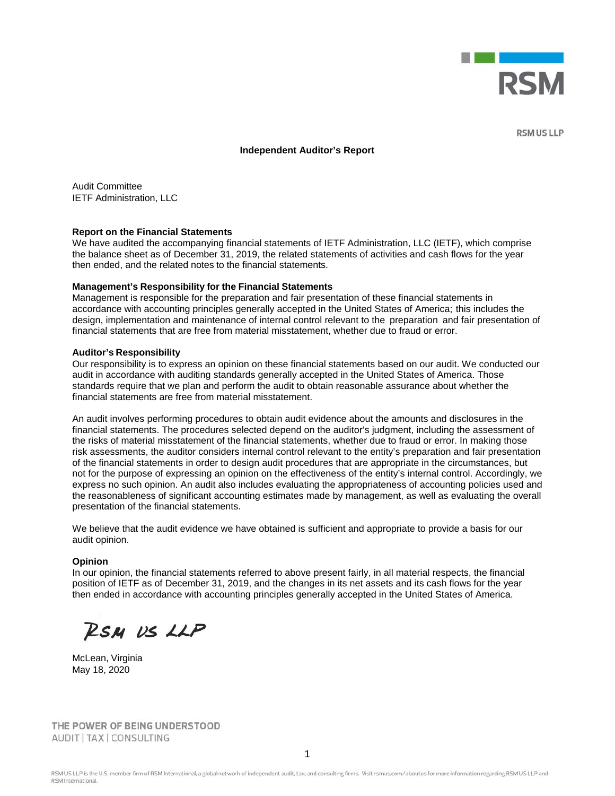

**RSM US LLP** 

#### **Independent Auditor's Report**

Audit Committee IETF Administration, LLC

#### **Report on the Financial Statements**

We have audited the accompanying financial statements of IETF Administration, LLC (IETF), which comprise the balance sheet as of December 31, 2019, the related statements of activities and cash flows for the year then ended, and the related notes to the financial statements.

#### **Management's Responsibility for the Financial Statements**

Management is responsible for the preparation and fair presentation of these financial statements in accordance with accounting principles generally accepted in the United States of America; this includes the design, implementation and maintenance of internal control relevant to the preparation and fair presentation of financial statements that are free from material misstatement, whether due to fraud or error.

#### **Auditor's Responsibility**

Our responsibility is to express an opinion on these financial statements based on our audit. We conducted our audit in accordance with auditing standards generally accepted in the United States of America. Those standards require that we plan and perform the audit to obtain reasonable assurance about whether the financial statements are free from material misstatement.

An audit involves performing procedures to obtain audit evidence about the amounts and disclosures in the financial statements. The procedures selected depend on the auditor's judgment, including the assessment of the risks of material misstatement of the financial statements, whether due to fraud or error. In making those risk assessments, the auditor considers internal control relevant to the entity's preparation and fair presentation of the financial statements in order to design audit procedures that are appropriate in the circumstances, but not for the purpose of expressing an opinion on the effectiveness of the entity's internal control. Accordingly, we express no such opinion. An audit also includes evaluating the appropriateness of accounting policies used and the reasonableness of significant accounting estimates made by management, as well as evaluating the overall presentation of the financial statements.

We believe that the audit evidence we have obtained is sufficient and appropriate to provide a basis for our audit opinion.

#### **Opinion**

In our opinion, the financial statements referred to above present fairly, in all material respects, the financial position of IETF as of December 31, 2019, and the changes in its net assets and its cash flows for the year then ended in accordance with accounting principles generally accepted in the United States of America.

RSM US LLP

McLean, Virginia May 18, 2020

THE POWER OF BEING UNDERSTOOD AUDIT | TAX | CONSULTING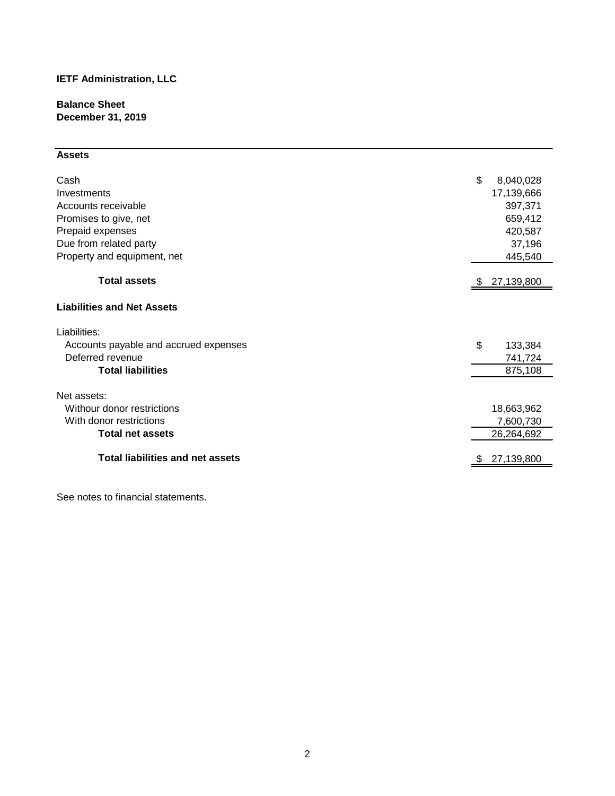**Balance Sheet December 31, 2019**

# **Assets**

| Cash<br>Investments<br>Accounts receivable<br>Promises to give, net<br>Prepaid expenses<br>Due from related party<br>Property and equipment, net | \$<br>8,040,028<br>17,139,666<br>397,371<br>659,412<br>420,587<br>37,196<br>445,540 |
|--------------------------------------------------------------------------------------------------------------------------------------------------|-------------------------------------------------------------------------------------|
| <b>Total assets</b>                                                                                                                              | 27,139,800                                                                          |
| <b>Liabilities and Net Assets</b>                                                                                                                |                                                                                     |
| Liabilities:                                                                                                                                     |                                                                                     |
| Accounts payable and accrued expenses                                                                                                            | \$<br>133,384                                                                       |
| Deferred revenue                                                                                                                                 | 741,724                                                                             |
| <b>Total liabilities</b>                                                                                                                         | 875,108                                                                             |
| Net assets:                                                                                                                                      |                                                                                     |
| Withour donor restrictions                                                                                                                       | 18,663,962                                                                          |
| With donor restrictions                                                                                                                          | 7,600,730                                                                           |
| <b>Total net assets</b>                                                                                                                          | 26,264,692                                                                          |
| <b>Total liabilities and net assets</b>                                                                                                          | 27,139,800                                                                          |

See notes to financial statements.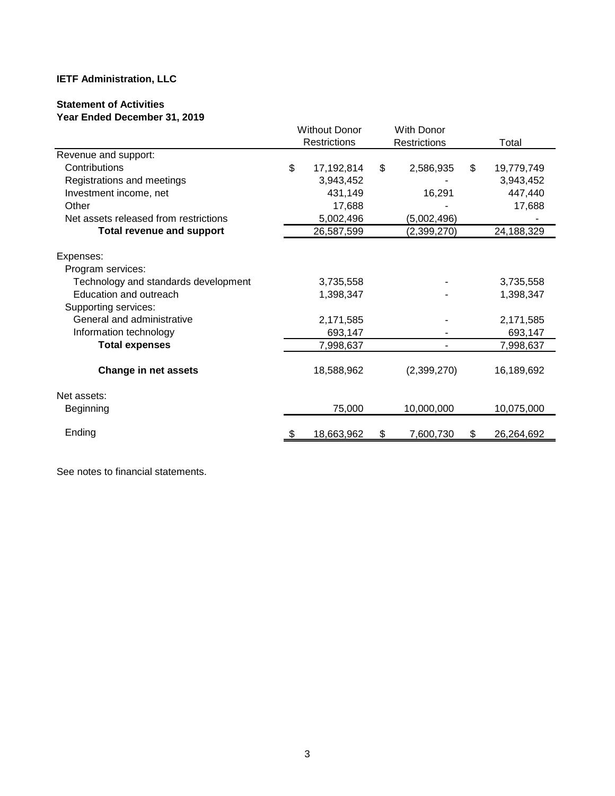# **Statement of Activities**

**Year Ended December 31, 2019**

|                                       | <b>Without Donor</b> | With Donor      |         |            |  |
|---------------------------------------|----------------------|-----------------|---------|------------|--|
|                                       | <b>Restrictions</b>  | Restrictions    |         | Total      |  |
| Revenue and support:                  |                      |                 |         |            |  |
| Contributions                         | \$<br>17,192,814     | \$<br>2,586,935 | \$      | 19,779,749 |  |
| Registrations and meetings            | 3,943,452            |                 |         | 3,943,452  |  |
| Investment income, net                | 431,149              | 16,291          |         | 447,440    |  |
| Other                                 | 17,688               |                 |         | 17,688     |  |
| Net assets released from restrictions | 5,002,496            | (5,002,496)     |         |            |  |
| <b>Total revenue and support</b>      | 26,587,599           | (2,399,270)     |         | 24,188,329 |  |
|                                       |                      |                 |         |            |  |
| Expenses:                             |                      |                 |         |            |  |
| Program services:                     |                      |                 |         |            |  |
| Technology and standards development  | 3,735,558            |                 |         | 3,735,558  |  |
| Education and outreach                | 1,398,347            |                 |         | 1,398,347  |  |
| Supporting services:                  |                      |                 |         |            |  |
| General and administrative            | 2,171,585            |                 |         | 2,171,585  |  |
| Information technology                | 693,147              |                 | 693,147 |            |  |
| <b>Total expenses</b>                 | 7,998,637            |                 |         | 7,998,637  |  |
|                                       |                      |                 |         |            |  |
| <b>Change in net assets</b>           | 18,588,962           | (2,399,270)     |         | 16,189,692 |  |
| Net assets:                           |                      |                 |         |            |  |
| <b>Beginning</b>                      | 75,000               | 10,000,000      |         | 10,075,000 |  |
|                                       |                      |                 |         |            |  |
| Ending                                | 18,663,962           | \$<br>7,600,730 | \$      | 26,264,692 |  |

See notes to financial statements.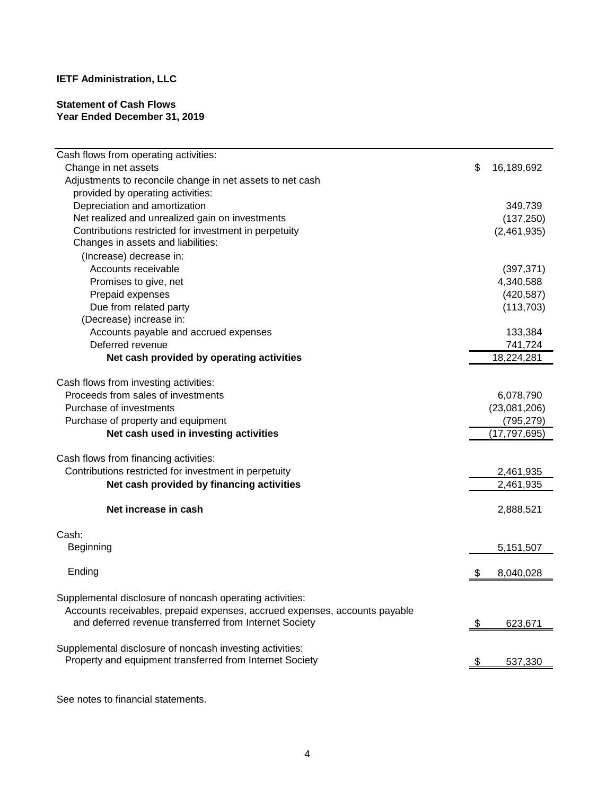## **Statement of Cash Flows Year Ended December 31, 2019**

| Cash flows from operating activities:                                      |    |                |
|----------------------------------------------------------------------------|----|----------------|
| Change in net assets                                                       | \$ | 16,189,692     |
| Adjustments to reconcile change in net assets to net cash                  |    |                |
| provided by operating activities:                                          |    |                |
| Depreciation and amortization                                              |    | 349,739        |
| Net realized and unrealized gain on investments                            |    | (137, 250)     |
| Contributions restricted for investment in perpetuity                      |    | (2,461,935)    |
| Changes in assets and liabilities:                                         |    |                |
| (Increase) decrease in:                                                    |    |                |
| Accounts receivable                                                        |    | (397, 371)     |
| Promises to give, net                                                      |    | 4,340,588      |
| Prepaid expenses                                                           |    | (420, 587)     |
| Due from related party                                                     |    | (113, 703)     |
| (Decrease) increase in:                                                    |    |                |
| Accounts payable and accrued expenses                                      |    | 133,384        |
| Deferred revenue                                                           |    | 741,724        |
| Net cash provided by operating activities                                  |    | 18,224,281     |
| Cash flows from investing activities:                                      |    |                |
| Proceeds from sales of investments                                         |    | 6,078,790      |
| Purchase of investments                                                    |    | (23,081,206)   |
| Purchase of property and equipment                                         |    | (795, 279)     |
| Net cash used in investing activities                                      |    | (17, 797, 695) |
|                                                                            |    |                |
| Cash flows from financing activities:                                      |    |                |
| Contributions restricted for investment in perpetuity                      |    | 2,461,935      |
| Net cash provided by financing activities                                  |    | 2,461,935      |
| Net increase in cash                                                       |    | 2,888,521      |
| Cash:                                                                      |    |                |
| <b>Beginning</b>                                                           |    | 5,151,507      |
|                                                                            |    |                |
| Ending                                                                     |    | 8,040,028      |
| Supplemental disclosure of noncash operating activities:                   |    |                |
| Accounts receivables, prepaid expenses, accrued expenses, accounts payable |    |                |
| and deferred revenue transferred from Internet Society                     | \$ | 623,671        |
|                                                                            |    |                |
| Supplemental disclosure of noncash investing activities:                   |    |                |
| Property and equipment transferred from Internet Society                   | ৾৵ | 537,330        |
|                                                                            |    |                |

See notes to financial statements.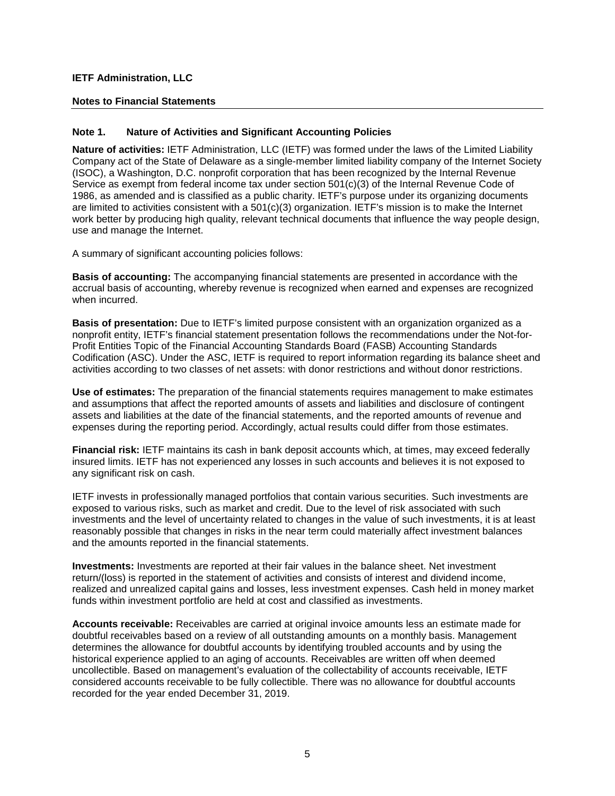#### **Notes to Financial Statements**

#### **Note 1. Nature of Activities and Significant Accounting Policies**

**Nature of activities:** IETF Administration, LLC (IETF) was formed under the laws of the Limited Liability Company act of the State of Delaware as a single-member limited liability company of the Internet Society (ISOC), a Washington, D.C. nonprofit corporation that has been recognized by the Internal Revenue Service as exempt from federal income tax under section 501(c)(3) of the Internal Revenue Code of 1986, as amended and is classified as a public charity. IETF's purpose under its organizing documents are limited to activities consistent with a  $501(c)(3)$  organization. IETF's mission is to make the Internet work better by producing high quality, relevant technical documents that influence the way people design, use and manage the Internet.

A summary of significant accounting policies follows:

**Basis of accounting:** The accompanying financial statements are presented in accordance with the accrual basis of accounting, whereby revenue is recognized when earned and expenses are recognized when incurred.

**Basis of presentation:** Due to IETF's limited purpose consistent with an organization organized as a nonprofit entity, IETF's financial statement presentation follows the recommendations under the Not-for-Profit Entities Topic of the Financial Accounting Standards Board (FASB) Accounting Standards Codification (ASC). Under the ASC, IETF is required to report information regarding its balance sheet and activities according to two classes of net assets: with donor restrictions and without donor restrictions.

**Use of estimates:** The preparation of the financial statements requires management to make estimates and assumptions that affect the reported amounts of assets and liabilities and disclosure of contingent assets and liabilities at the date of the financial statements, and the reported amounts of revenue and expenses during the reporting period. Accordingly, actual results could differ from those estimates.

**Financial risk:** IETF maintains its cash in bank deposit accounts which, at times, may exceed federally insured limits. IETF has not experienced any losses in such accounts and believes it is not exposed to any significant risk on cash.

IETF invests in professionally managed portfolios that contain various securities. Such investments are exposed to various risks, such as market and credit. Due to the level of risk associated with such investments and the level of uncertainty related to changes in the value of such investments, it is at least reasonably possible that changes in risks in the near term could materially affect investment balances and the amounts reported in the financial statements.

**Investments:** Investments are reported at their fair values in the balance sheet. Net investment return/(loss) is reported in the statement of activities and consists of interest and dividend income, realized and unrealized capital gains and losses, less investment expenses. Cash held in money market funds within investment portfolio are held at cost and classified as investments.

**Accounts receivable:** Receivables are carried at original invoice amounts less an estimate made for doubtful receivables based on a review of all outstanding amounts on a monthly basis. Management determines the allowance for doubtful accounts by identifying troubled accounts and by using the historical experience applied to an aging of accounts. Receivables are written off when deemed uncollectible. Based on management's evaluation of the collectability of accounts receivable, IETF considered accounts receivable to be fully collectible. There was no allowance for doubtful accounts recorded for the year ended December 31, 2019.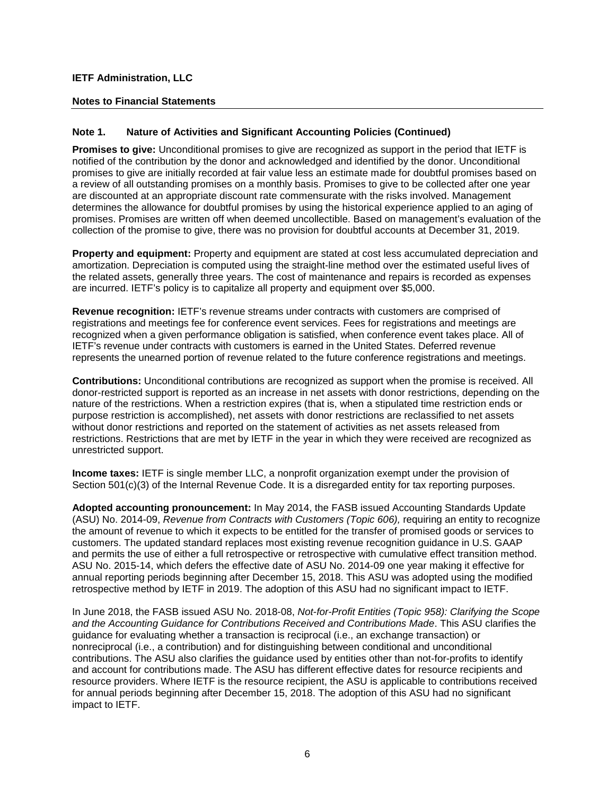#### **Notes to Financial Statements**

#### **Note 1. Nature of Activities and Significant Accounting Policies (Continued)**

**Promises to give:** Unconditional promises to give are recognized as support in the period that IETF is notified of the contribution by the donor and acknowledged and identified by the donor. Unconditional promises to give are initially recorded at fair value less an estimate made for doubtful promises based on a review of all outstanding promises on a monthly basis. Promises to give to be collected after one year are discounted at an appropriate discount rate commensurate with the risks involved. Management determines the allowance for doubtful promises by using the historical experience applied to an aging of promises. Promises are written off when deemed uncollectible. Based on management's evaluation of the collection of the promise to give, there was no provision for doubtful accounts at December 31, 2019.

**Property and equipment:** Property and equipment are stated at cost less accumulated depreciation and amortization. Depreciation is computed using the straight-line method over the estimated useful lives of the related assets, generally three years. The cost of maintenance and repairs is recorded as expenses are incurred. IETF's policy is to capitalize all property and equipment over \$5,000.

**Revenue recognition:** IETF's revenue streams under contracts with customers are comprised of registrations and meetings fee for conference event services. Fees for registrations and meetings are recognized when a given performance obligation is satisfied, when conference event takes place. All of IETF's revenue under contracts with customers is earned in the United States. Deferred revenue represents the unearned portion of revenue related to the future conference registrations and meetings.

**Contributions:** Unconditional contributions are recognized as support when the promise is received. All donor-restricted support is reported as an increase in net assets with donor restrictions, depending on the nature of the restrictions. When a restriction expires (that is, when a stipulated time restriction ends or purpose restriction is accomplished), net assets with donor restrictions are reclassified to net assets without donor restrictions and reported on the statement of activities as net assets released from restrictions. Restrictions that are met by IETF in the year in which they were received are recognized as unrestricted support.

**Income taxes:** IETF is single member LLC, a nonprofit organization exempt under the provision of Section 501(c)(3) of the Internal Revenue Code. It is a disregarded entity for tax reporting purposes.

**Adopted accounting pronouncement:** In May 2014, the FASB issued Accounting Standards Update (ASU) No. 2014-09, *Revenue from Contracts with Customers (Topic 606),* requiring an entity to recognize the amount of revenue to which it expects to be entitled for the transfer of promised goods or services to customers. The updated standard replaces most existing revenue recognition guidance in U.S. GAAP and permits the use of either a full retrospective or retrospective with cumulative effect transition method. ASU No. 2015-14, which defers the effective date of ASU No. 2014-09 one year making it effective for annual reporting periods beginning after December 15, 2018. This ASU was adopted using the modified retrospective method by IETF in 2019. The adoption of this ASU had no significant impact to IETF.

In June 2018, the FASB issued ASU No. 2018-08, *Not-for-Profit Entities (Topic 958): Clarifying the Scope and the Accounting Guidance for Contributions Received and Contributions Made*. This ASU clarifies the guidance for evaluating whether a transaction is reciprocal (i.e., an exchange transaction) or nonreciprocal (i.e., a contribution) and for distinguishing between conditional and unconditional contributions. The ASU also clarifies the guidance used by entities other than not-for-profits to identify and account for contributions made. The ASU has different effective dates for resource recipients and resource providers. Where IETF is the resource recipient, the ASU is applicable to contributions received for annual periods beginning after December 15, 2018. The adoption of this ASU had no significant impact to IETF.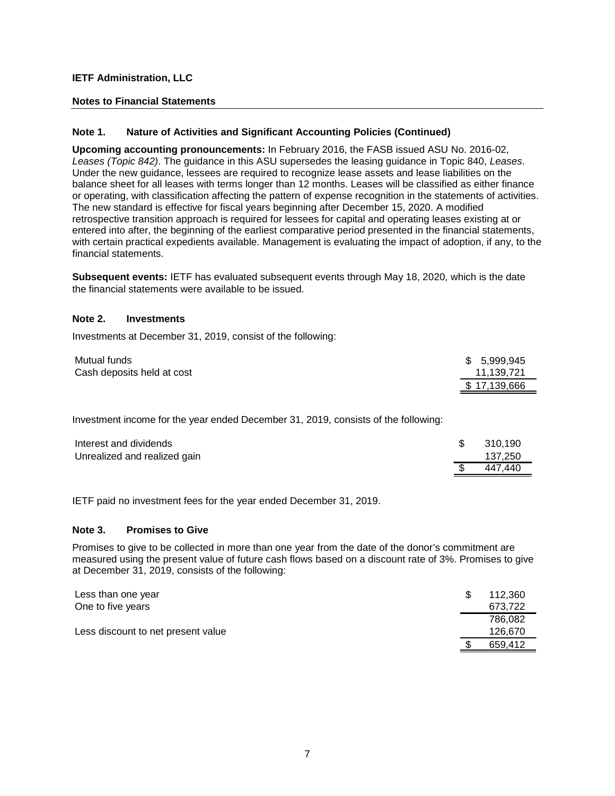#### **Notes to Financial Statements**

#### **Note 1. Nature of Activities and Significant Accounting Policies (Continued)**

**Upcoming accounting pronouncements:** In February 2016, the FASB issued ASU No. 2016-02, *Leases (Topic 842)*. The guidance in this ASU supersedes the leasing guidance in Topic 840, *Leases*. Under the new guidance, lessees are required to recognize lease assets and lease liabilities on the balance sheet for all leases with terms longer than 12 months. Leases will be classified as either finance or operating, with classification affecting the pattern of expense recognition in the statements of activities. The new standard is effective for fiscal years beginning after December 15, 2020. A modified retrospective transition approach is required for lessees for capital and operating leases existing at or entered into after, the beginning of the earliest comparative period presented in the financial statements, with certain practical expedients available. Management is evaluating the impact of adoption, if any, to the financial statements.

**Subsequent events:** IETF has evaluated subsequent events through May 18, 2020, which is the date the financial statements were available to be issued.

#### **Note 2. Investments**

Investments at December 31, 2019, consist of the following:

| Mutual funds               | \$ 5,999,945 |
|----------------------------|--------------|
| Cash deposits held at cost | 11.139.721   |
|                            | \$17.139.666 |

Investment income for the year ended December 31, 2019, consists of the following:

| Interest and dividends       | 310.190 |
|------------------------------|---------|
| Unrealized and realized gain | 137,250 |
|                              | 447.440 |

IETF paid no investment fees for the year ended December 31, 2019.

#### **Note 3. Promises to Give**

Promises to give to be collected in more than one year from the date of the donor's commitment are measured using the present value of future cash flows based on a discount rate of 3%. Promises to give at December 31, 2019, consists of the following:

| Less than one year                 | 112.360 |
|------------------------------------|---------|
| One to five years                  | 673.722 |
|                                    | 786.082 |
| Less discount to net present value | 126.670 |
|                                    | 659.412 |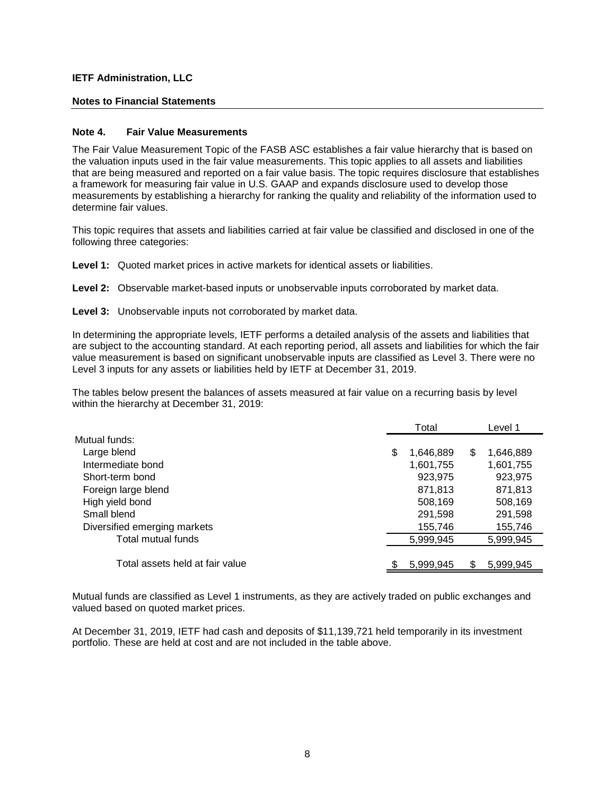#### **Notes to Financial Statements**

#### **Note 4. Fair Value Measurements**

The Fair Value Measurement Topic of the FASB ASC establishes a fair value hierarchy that is based on the valuation inputs used in the fair value measurements. This topic applies to all assets and liabilities that are being measured and reported on a fair value basis. The topic requires disclosure that establishes a framework for measuring fair value in U.S. GAAP and expands disclosure used to develop those measurements by establishing a hierarchy for ranking the quality and reliability of the information used to determine fair values.

This topic requires that assets and liabilities carried at fair value be classified and disclosed in one of the following three categories:

**Level 1:** Quoted market prices in active markets for identical assets or liabilities.

**Level 2:** Observable market-based inputs or unobservable inputs corroborated by market data.

**Level 3:** Unobservable inputs not corroborated by market data.

In determining the appropriate levels, IETF performs a detailed analysis of the assets and liabilities that are subject to the accounting standard. At each reporting period, all assets and liabilities for which the fair value measurement is based on significant unobservable inputs are classified as Level 3. There were no Level 3 inputs for any assets or liabilities held by IETF at December 31, 2019.

The tables below present the balances of assets measured at fair value on a recurring basis by level within the hierarchy at December 31, 2019:

|                                 |   | Total     |   | Level 1   |  |
|---------------------------------|---|-----------|---|-----------|--|
| Mutual funds:                   |   |           |   |           |  |
| Large blend                     | S | 1,646,889 | S | 1,646,889 |  |
| Intermediate bond               |   | 1,601,755 |   | 1,601,755 |  |
| Short-term bond                 |   | 923,975   |   | 923,975   |  |
| Foreign large blend             |   | 871,813   |   | 871,813   |  |
| High yield bond                 |   | 508,169   |   | 508,169   |  |
| Small blend                     |   | 291,598   |   | 291,598   |  |
| Diversified emerging markets    |   | 155,746   |   | 155,746   |  |
| Total mutual funds              |   | 5,999,945 |   | 5,999,945 |  |
|                                 |   |           |   |           |  |
| Total assets held at fair value |   | 5,999,945 |   | 5.999.945 |  |

Mutual funds are classified as Level 1 instruments, as they are actively traded on public exchanges and valued based on quoted market prices.

At December 31, 2019, IETF had cash and deposits of \$11,139,721 held temporarily in its investment portfolio. These are held at cost and are not included in the table above.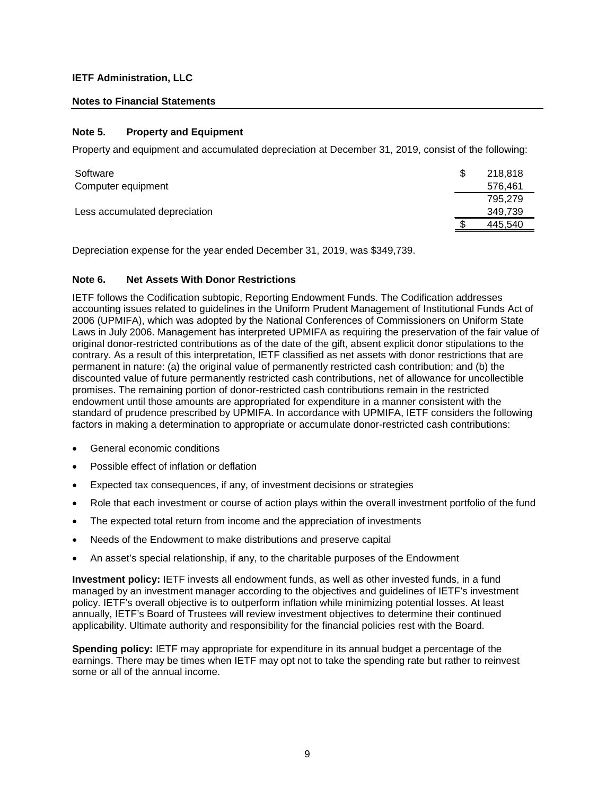#### **Notes to Financial Statements**

#### **Note 5. Property and Equipment**

Property and equipment and accumulated depreciation at December 31, 2019, consist of the following:

| Software                      | 218.818 |
|-------------------------------|---------|
| Computer equipment            | 576.461 |
|                               | 795.279 |
| Less accumulated depreciation | 349.739 |
|                               | 445.540 |

Depreciation expense for the year ended December 31, 2019, was \$349,739.

#### **Note 6. Net Assets With Donor Restrictions**

IETF follows the Codification subtopic, Reporting Endowment Funds. The Codification addresses accounting issues related to guidelines in the Uniform Prudent Management of Institutional Funds Act of 2006 (UPMIFA), which was adopted by the National Conferences of Commissioners on Uniform State Laws in July 2006. Management has interpreted UPMIFA as requiring the preservation of the fair value of original donor-restricted contributions as of the date of the gift, absent explicit donor stipulations to the contrary. As a result of this interpretation, IETF classified as net assets with donor restrictions that are permanent in nature: (a) the original value of permanently restricted cash contribution; and (b) the discounted value of future permanently restricted cash contributions, net of allowance for uncollectible promises. The remaining portion of donor-restricted cash contributions remain in the restricted endowment until those amounts are appropriated for expenditure in a manner consistent with the standard of prudence prescribed by UPMIFA. In accordance with UPMIFA, IETF considers the following factors in making a determination to appropriate or accumulate donor-restricted cash contributions:

- General economic conditions
- Possible effect of inflation or deflation
- Expected tax consequences, if any, of investment decisions or strategies
- Role that each investment or course of action plays within the overall investment portfolio of the fund
- The expected total return from income and the appreciation of investments
- Needs of the Endowment to make distributions and preserve capital
- An asset's special relationship, if any, to the charitable purposes of the Endowment

**Investment policy:** IETF invests all endowment funds, as well as other invested funds, in a fund managed by an investment manager according to the objectives and guidelines of IETF's investment policy. IETF's overall objective is to outperform inflation while minimizing potential losses. At least annually, IETF's Board of Trustees will review investment objectives to determine their continued applicability. Ultimate authority and responsibility for the financial policies rest with the Board.

**Spending policy:** IETF may appropriate for expenditure in its annual budget a percentage of the earnings. There may be times when IETF may opt not to take the spending rate but rather to reinvest some or all of the annual income.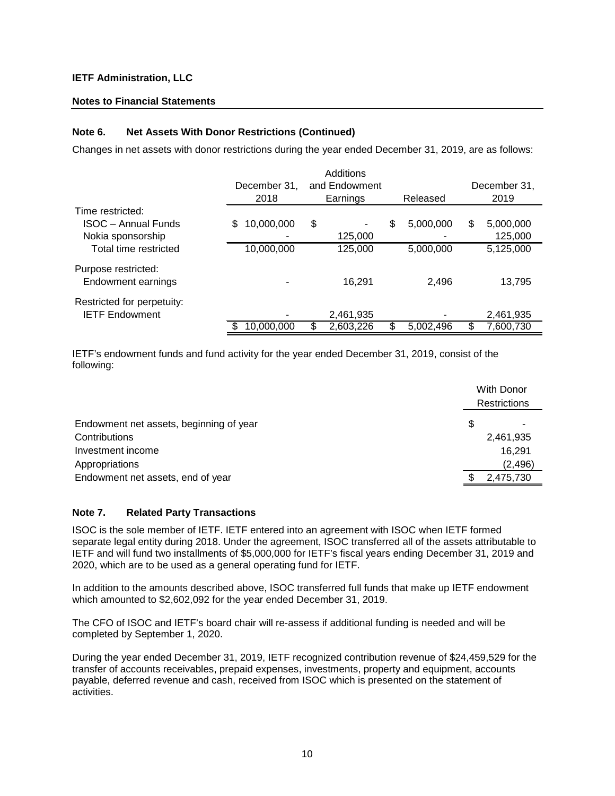#### **Notes to Financial Statements**

#### **Note 6. Net Assets With Donor Restrictions (Continued)**

Changes in net assets with donor restrictions during the year ended December 31, 2019, are as follows:

|                            | December 31.<br>2018 | Additions<br>and Endowment<br>Earnings | Released        |   | December 31.<br>2019 |
|----------------------------|----------------------|----------------------------------------|-----------------|---|----------------------|
| Time restricted:           |                      |                                        |                 |   |                      |
| <b>ISOC - Annual Funds</b> | 10,000,000<br>\$     | \$<br>-                                | \$<br>5,000,000 | S | 5,000,000            |
| Nokia sponsorship          |                      | 125,000                                |                 |   | 125,000              |
| Total time restricted      | 10,000,000           | 125,000                                | 5,000,000       |   | 5,125,000            |
| Purpose restricted:        |                      |                                        |                 |   |                      |
| Endowment earnings         |                      | 16.291                                 | 2,496           |   | 13,795               |
| Restricted for perpetuity: |                      |                                        |                 |   |                      |
| <b>IETF Endowment</b>      |                      | 2,461,935                              |                 |   | 2,461,935            |
|                            | 10,000,000           | \$<br>2,603,226                        | \$<br>5,002,496 |   | 7,600,730            |

IETF's endowment funds and fund activity for the year ended December 31, 2019, consist of the following:

|                                         | With Donor |              |
|-----------------------------------------|------------|--------------|
|                                         |            | Restrictions |
| Endowment net assets, beginning of year | S          |              |
| Contributions                           |            | 2,461,935    |
| Investment income                       |            | 16,291       |
| Appropriations                          |            | (2, 496)     |
| Endowment net assets, end of year       |            | 2,475,730    |

#### **Note 7. Related Party Transactions**

ISOC is the sole member of IETF. IETF entered into an agreement with ISOC when IETF formed separate legal entity during 2018. Under the agreement, ISOC transferred all of the assets attributable to IETF and will fund two installments of \$5,000,000 for IETF's fiscal years ending December 31, 2019 and 2020, which are to be used as a general operating fund for IETF.

In addition to the amounts described above, ISOC transferred full funds that make up IETF endowment which amounted to \$2,602,092 for the year ended December 31, 2019.

The CFO of ISOC and IETF's board chair will re-assess if additional funding is needed and will be completed by September 1, 2020.

During the year ended December 31, 2019, IETF recognized contribution revenue of \$24,459,529 for the transfer of accounts receivables, prepaid expenses, investments, property and equipment, accounts payable, deferred revenue and cash, received from ISOC which is presented on the statement of activities.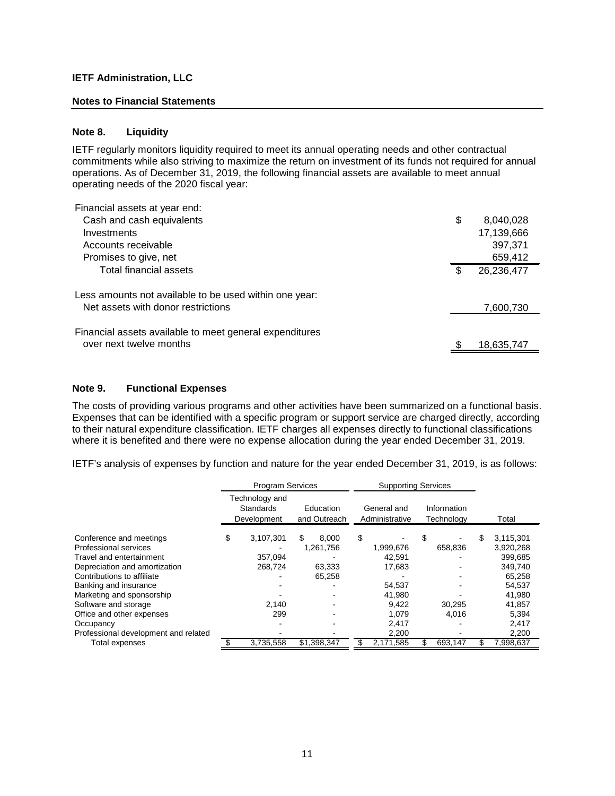#### **Notes to Financial Statements**

#### **Note 8. Liquidity**

IETF regularly monitors liquidity required to meet its annual operating needs and other contractual commitments while also striving to maximize the return on investment of its funds not required for annual operations. As of December 31, 2019, the following financial assets are available to meet annual operating needs of the 2020 fiscal year:

|     | 8,040,028  |
|-----|------------|
|     | 17,139,666 |
|     | 397,371    |
|     | 659,412    |
| \$. | 26,236,477 |
|     | 7,600,730  |
|     | 18,635,747 |
|     | \$         |

#### **Note 9. Functional Expenses**

The costs of providing various programs and other activities have been summarized on a functional basis. Expenses that can be identified with a specific program or support service are charged directly, according to their natural expenditure classification. IETF charges all expenses directly to functional classifications where it is benefited and there were no expense allocation during the year ended December 31, 2019.

IETF's analysis of expenses by function and nature for the year ended December 31, 2019, is as follows:

|                                                   | <b>Program Services</b> |                                                   |    |                           | <b>Supporting Services</b> |                               |    |                           |   |                      |
|---------------------------------------------------|-------------------------|---------------------------------------------------|----|---------------------------|----------------------------|-------------------------------|----|---------------------------|---|----------------------|
|                                                   |                         | Technology and<br><b>Standards</b><br>Development |    | Education<br>and Outreach |                            | General and<br>Administrative |    | Information<br>Technology |   | Total                |
| Conference and meetings                           | \$                      | 3,107,301                                         | \$ | 8.000                     | \$                         |                               | \$ |                           | S | 3,115,301            |
| Professional services<br>Travel and entertainment |                         | 357,094                                           |    | 1,261,756                 |                            | 1,999,676<br>42,591           |    | 658,836                   |   | 3,920,268<br>399,685 |
| Depreciation and amortization                     |                         | 268.724                                           |    | 63.333                    |                            | 17.683                        |    |                           |   | 349,740              |
| Contributions to affiliate                        |                         |                                                   |    | 65,258                    |                            |                               |    |                           |   | 65,258               |
| Banking and insurance                             |                         |                                                   |    |                           |                            | 54,537                        |    |                           |   | 54,537               |
| Marketing and sponsorship                         |                         |                                                   |    |                           |                            | 41,980                        |    |                           |   | 41.980               |
| Software and storage<br>Office and other expenses |                         | 2.140<br>299                                      |    |                           |                            | 9.422<br>1,079                |    | 30.295<br>4,016           |   | 41,857<br>5,394      |
| Occupancy                                         |                         |                                                   |    |                           |                            | 2,417                         |    |                           |   | 2,417                |
| Professional development and related              |                         |                                                   |    |                           |                            | 2,200                         |    |                           |   | 2,200                |
| Total expenses                                    |                         | 3,735,558                                         |    | \$1,398,347               | Æ.                         | 2,171,585                     |    | 693,147                   |   | 7,998,637            |